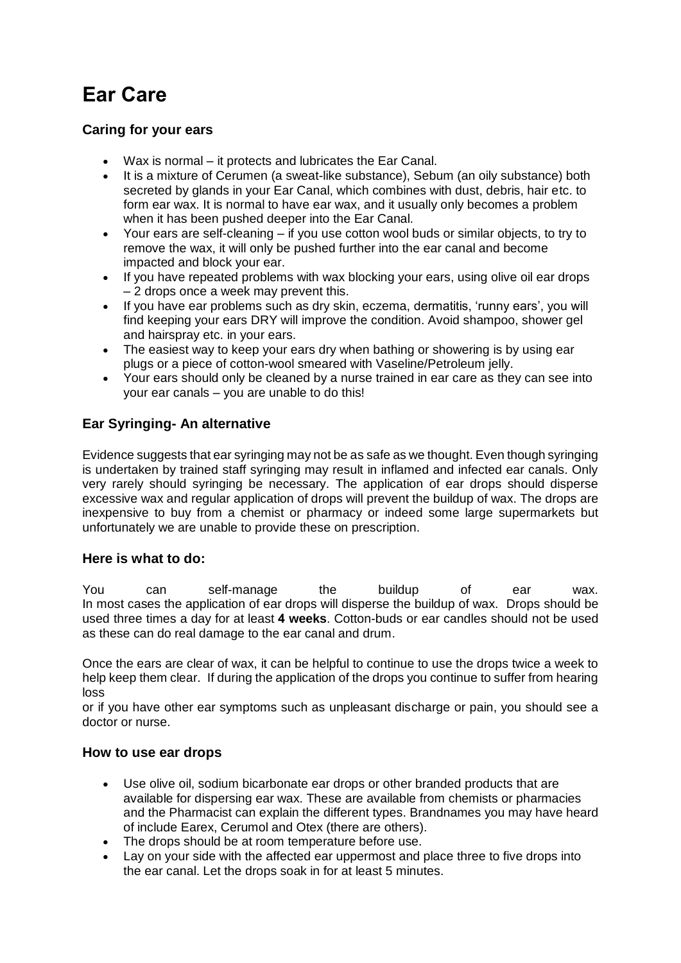# **Ear Care**

### **Caring for your ears**

- Wax is normal it protects and lubricates the Ear Canal.
- It is a mixture of Cerumen (a sweat-like substance), Sebum (an oily substance) both secreted by glands in your Ear Canal, which combines with dust, debris, hair etc. to form ear wax. It is normal to have ear wax, and it usually only becomes a problem when it has been pushed deeper into the Ear Canal.
- Your ears are self-cleaning if you use cotton wool buds or similar objects, to try to remove the wax, it will only be pushed further into the ear canal and become impacted and block your ear.
- If you have repeated problems with wax blocking your ears, using olive oil ear drops – 2 drops once a week may prevent this.
- If you have ear problems such as dry skin, eczema, dermatitis, 'runny ears', you will find keeping your ears DRY will improve the condition. Avoid shampoo, shower gel and hairspray etc. in your ears.
- The easiest way to keep your ears dry when bathing or showering is by using ear plugs or a piece of cotton-wool smeared with Vaseline/Petroleum jelly.
- Your ears should only be cleaned by a nurse trained in ear care as they can see into your ear canals – you are unable to do this!

# **Ear Syringing- An alternative**

Evidence suggests that ear syringing may not be as safe as we thought. Even though syringing is undertaken by trained staff syringing may result in inflamed and infected ear canals. Only very rarely should syringing be necessary. The application of ear drops should disperse excessive wax and regular application of drops will prevent the buildup of wax. The drops are inexpensive to buy from a chemist or pharmacy or indeed some large supermarkets but unfortunately we are unable to provide these on prescription.

## **Here is what to do:**

You can self-manage the buildup of ear wax. In most cases the application of ear drops will disperse the buildup of wax. Drops should be used three times a day for at least **4 weeks**. Cotton-buds or ear candles should not be used as these can do real damage to the ear canal and drum.

Once the ears are clear of wax, it can be helpful to continue to use the drops twice a week to help keep them clear. If during the application of the drops you continue to suffer from hearing loss

or if you have other ear symptoms such as unpleasant discharge or pain, you should see a doctor or nurse.

#### **How to use ear drops**

- Use olive oil, sodium bicarbonate ear drops or other branded products that are available for dispersing ear wax. These are available from chemists or pharmacies and the Pharmacist can explain the different types. Brandnames you may have heard of include Earex, Cerumol and Otex (there are others).
- The drops should be at room temperature before use.
- Lay on your side with the affected ear uppermost and place three to five drops into the ear canal. Let the drops soak in for at least 5 minutes.